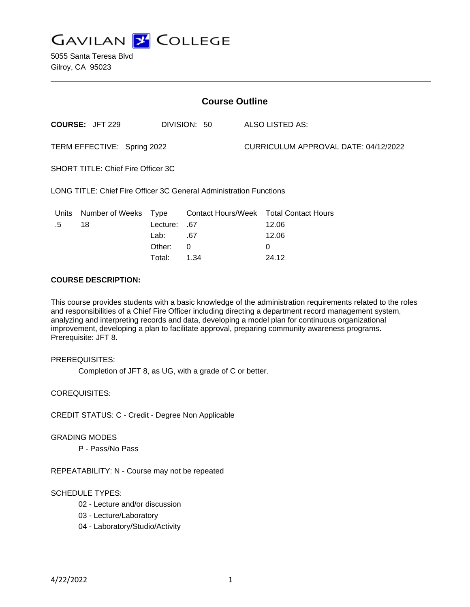

5055 Santa Teresa Blvd Gilroy, CA 95023

| <b>Course Outline</b>                                              |                        |          |                           |                                      |                            |
|--------------------------------------------------------------------|------------------------|----------|---------------------------|--------------------------------------|----------------------------|
|                                                                    | <b>COURSE: JFT 229</b> |          | DIVISION: 50              |                                      | ALSO LISTED AS:            |
| TERM EFFECTIVE: Spring 2022                                        |                        |          |                           | CURRICULUM APPROVAL DATE: 04/12/2022 |                            |
| <b>SHORT TITLE: Chief Fire Officer 3C</b>                          |                        |          |                           |                                      |                            |
| LONG TITLE: Chief Fire Officer 3C General Administration Functions |                        |          |                           |                                      |                            |
| Units                                                              | Number of Weeks        | Type     | <b>Contact Hours/Week</b> |                                      | <b>Total Contact Hours</b> |
| .5                                                                 | 18                     | Lecture: | .67                       |                                      | 12.06                      |
|                                                                    |                        | Lab:     | .67                       |                                      | 12.06                      |
|                                                                    |                        | Other:   | 0                         |                                      | 0                          |
|                                                                    |                        |          |                           |                                      |                            |

Total: 1.34 24.12

## **COURSE DESCRIPTION:**

This course provides students with a basic knowledge of the administration requirements related to the roles and responsibilities of a Chief Fire Officer including directing a department record management system, analyzing and interpreting records and data, developing a model plan for continuous organizational improvement, developing a plan to facilitate approval, preparing community awareness programs. Prerequisite: JFT 8.

### PREREQUISITES:

Completion of JFT 8, as UG, with a grade of C or better.

COREQUISITES:

CREDIT STATUS: C - Credit - Degree Non Applicable

### GRADING MODES

P - Pass/No Pass

REPEATABILITY: N - Course may not be repeated

# SCHEDULE TYPES:

- 02 Lecture and/or discussion
- 03 Lecture/Laboratory
- 04 Laboratory/Studio/Activity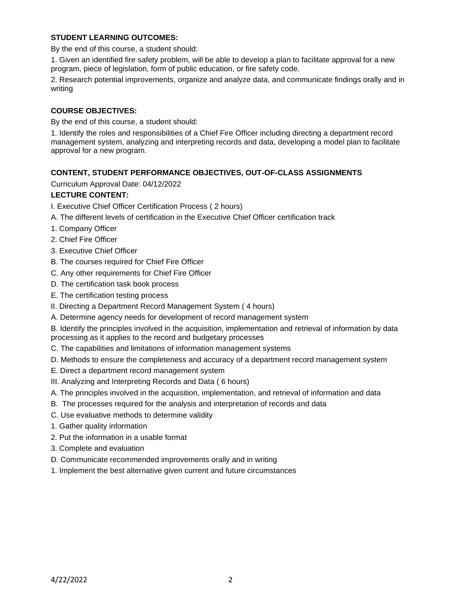## **STUDENT LEARNING OUTCOMES:**

By the end of this course, a student should:

1. Given an identified fire safety problem, will be able to develop a plan to facilitate approval for a new program, piece of legislation, form of public education, or fire safety code.

2. Research potential improvements, organize and analyze data, and communicate findings orally and in writing

## **COURSE OBJECTIVES:**

By the end of this course, a student should:

1. Identify the roles and responsibilities of a Chief Fire Officer including directing a department record management system, analyzing and interpreting records and data, developing a model plan to facilitate approval for a new program.

## **CONTENT, STUDENT PERFORMANCE OBJECTIVES, OUT-OF-CLASS ASSIGNMENTS**

Curriculum Approval Date: 04/12/2022

## **LECTURE CONTENT:**

- I. Executive Chief Officer Certification Process ( 2 hours)
- A. The different levels of certification in the Executive Chief Officer certification track
- 1. Company Officer
- 2. Chief Fire Officer
- 3. Executive Chief Officer
- B. The courses required for Chief Fire Officer
- C. Any other requirements for Chief Fire Officer
- D. The certification task book process
- E. The certification testing process
- II. Directing a Department Record Management System ( 4 hours)
- A. Determine agency needs for development of record management system

B. Identify the principles involved in the acquisition, implementation and retrieval of information by data processing as it applies to the record and budgetary processes

- C. The capabilities and limitations of information management systems
- D. Methods to ensure the completeness and accuracy of a department record management system
- E. Direct a department record management system
- III. Analyzing and Interpreting Records and Data ( 6 hours)
- A. The principles involved in the acquisition, implementation, and retrieval of information and data
- B. The processes required for the analysis and interpretation of records and data
- C. Use evaluative methods to determine validity
- 1. Gather quality information
- 2. Put the information in a usable format
- 3. Complete and evaluation
- D. Communicate recommended improvements orally and in writing
- 1. Implement the best alternative given current and future circumstances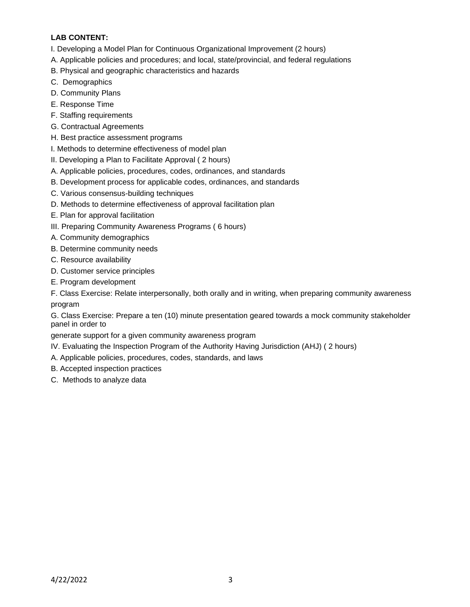# **LAB CONTENT:**

- I. Developing a Model Plan for Continuous Organizational Improvement (2 hours)
- A. Applicable policies and procedures; and local, state/provincial, and federal regulations
- B. Physical and geographic characteristics and hazards
- C. Demographics
- D. Community Plans
- E. Response Time
- F. Staffing requirements
- G. Contractual Agreements
- H. Best practice assessment programs
- I. Methods to determine effectiveness of model plan
- II. Developing a Plan to Facilitate Approval ( 2 hours)
- A. Applicable policies, procedures, codes, ordinances, and standards
- B. Development process for applicable codes, ordinances, and standards
- C. Various consensus-building techniques
- D. Methods to determine effectiveness of approval facilitation plan
- E. Plan for approval facilitation
- III. Preparing Community Awareness Programs ( 6 hours)
- A. Community demographics
- B. Determine community needs
- C. Resource availability
- D. Customer service principles
- E. Program development

F. Class Exercise: Relate interpersonally, both orally and in writing, when preparing community awareness program

G. Class Exercise: Prepare a ten (10) minute presentation geared towards a mock community stakeholder panel in order to

generate support for a given community awareness program

- IV. Evaluating the Inspection Program of the Authority Having Jurisdiction (AHJ) ( 2 hours)
- A. Applicable policies, procedures, codes, standards, and laws
- B. Accepted inspection practices
- C. Methods to analyze data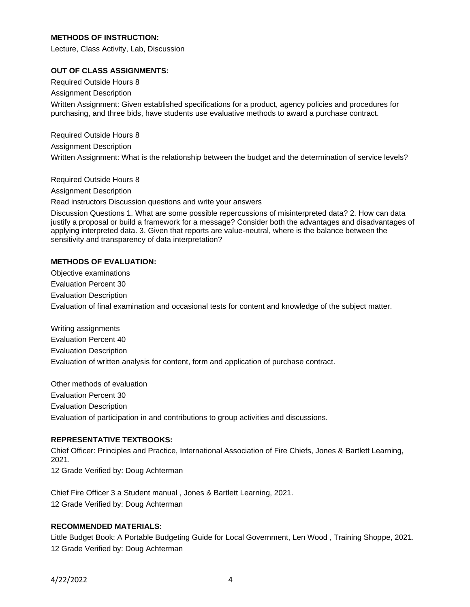## **METHODS OF INSTRUCTION:**

Lecture, Class Activity, Lab, Discussion

## **OUT OF CLASS ASSIGNMENTS:**

Required Outside Hours 8

Assignment Description

Written Assignment: Given established specifications for a product, agency policies and procedures for purchasing, and three bids, have students use evaluative methods to award a purchase contract.

Required Outside Hours 8 Assignment Description Written Assignment: What is the relationship between the budget and the determination of service levels?

Required Outside Hours 8

Assignment Description

Read instructors Discussion questions and write your answers

Discussion Questions 1. What are some possible repercussions of misinterpreted data? 2. How can data justify a proposal or build a framework for a message? Consider both the advantages and disadvantages of applying interpreted data. 3. Given that reports are value-neutral, where is the balance between the sensitivity and transparency of data interpretation?

## **METHODS OF EVALUATION:**

Objective examinations Evaluation Percent 30 Evaluation Description Evaluation of final examination and occasional tests for content and knowledge of the subject matter.

Writing assignments Evaluation Percent 40 Evaluation Description Evaluation of written analysis for content, form and application of purchase contract.

Other methods of evaluation Evaluation Percent 30 Evaluation Description Evaluation of participation in and contributions to group activities and discussions.

## **REPRESENTATIVE TEXTBOOKS:**

Chief Officer: Principles and Practice, International Association of Fire Chiefs, Jones & Bartlett Learning, 2021. 12 Grade Verified by: Doug Achterman

Chief Fire Officer 3 a Student manual , Jones & Bartlett Learning, 2021. 12 Grade Verified by: Doug Achterman

### **RECOMMENDED MATERIALS:**

Little Budget Book: A Portable Budgeting Guide for Local Government, Len Wood , Training Shoppe, 2021. 12 Grade Verified by: Doug Achterman